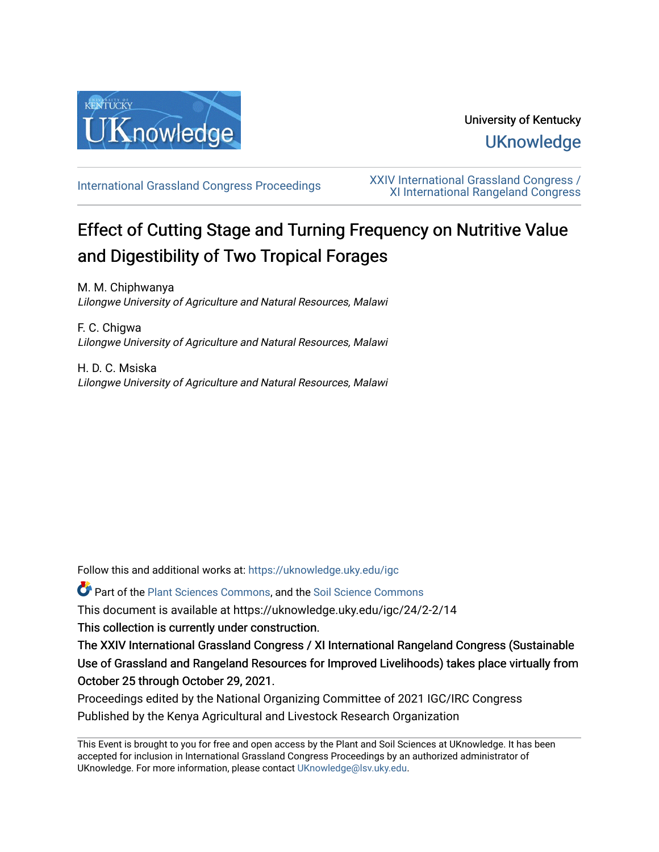

# University of Kentucky **UKnowledge**

[International Grassland Congress Proceedings](https://uknowledge.uky.edu/igc) [XXIV International Grassland Congress /](https://uknowledge.uky.edu/igc/24)  [XI International Rangeland Congress](https://uknowledge.uky.edu/igc/24) 

# Effect of Cutting Stage and Turning Frequency on Nutritive Value and Digestibility of Two Tropical Forages

M. M. Chiphwanya Lilongwe University of Agriculture and Natural Resources, Malawi

F. C. Chigwa Lilongwe University of Agriculture and Natural Resources, Malawi

H. D. C. Msiska Lilongwe University of Agriculture and Natural Resources, Malawi

Follow this and additional works at: [https://uknowledge.uky.edu/igc](https://uknowledge.uky.edu/igc?utm_source=uknowledge.uky.edu%2Figc%2F24%2F2-2%2F14&utm_medium=PDF&utm_campaign=PDFCoverPages) 

Part of the [Plant Sciences Commons](http://network.bepress.com/hgg/discipline/102?utm_source=uknowledge.uky.edu%2Figc%2F24%2F2-2%2F14&utm_medium=PDF&utm_campaign=PDFCoverPages), and the [Soil Science Commons](http://network.bepress.com/hgg/discipline/163?utm_source=uknowledge.uky.edu%2Figc%2F24%2F2-2%2F14&utm_medium=PDF&utm_campaign=PDFCoverPages) 

This document is available at https://uknowledge.uky.edu/igc/24/2-2/14

This collection is currently under construction.

The XXIV International Grassland Congress / XI International Rangeland Congress (Sustainable Use of Grassland and Rangeland Resources for Improved Livelihoods) takes place virtually from October 25 through October 29, 2021.

Proceedings edited by the National Organizing Committee of 2021 IGC/IRC Congress Published by the Kenya Agricultural and Livestock Research Organization

This Event is brought to you for free and open access by the Plant and Soil Sciences at UKnowledge. It has been accepted for inclusion in International Grassland Congress Proceedings by an authorized administrator of UKnowledge. For more information, please contact [UKnowledge@lsv.uky.edu](mailto:UKnowledge@lsv.uky.edu).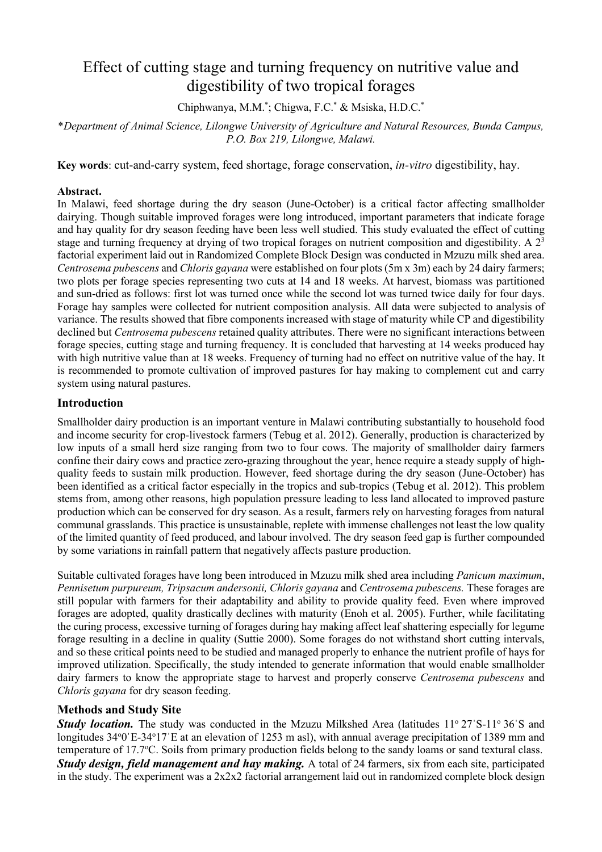# Effect of cutting stage and turning frequency on nutritive value and digestibility of two tropical forages

Chiphwanya, M.M.<sup>\*</sup>; Chigwa, F.C.<sup>\*</sup> & Msiska, H.D.C.<sup>\*</sup>

\**Department of Animal Science, Lilongwe University of Agriculture and Natural Resources, Bunda Campus, P.O. Box 219, Lilongwe, Malawi.*

**Key words**: cut-and-carry system, feed shortage, forage conservation, *in-vitro* digestibility, hay.

### **Abstract.**

In Malawi, feed shortage during the dry season (June-October) is a critical factor affecting smallholder dairying. Though suitable improved forages were long introduced, important parameters that indicate forage and hay quality for dry season feeding have been less well studied. This study evaluated the effect of cutting stage and turning frequency at drying of two tropical forages on nutrient composition and digestibility. A  $2<sup>3</sup>$ factorial experiment laid out in Randomized Complete Block Design was conducted in Mzuzu milk shed area. *Centrosema pubescens* and *Chloris gayana* were established on four plots (5m x 3m) each by 24 dairy farmers; two plots per forage species representing two cuts at 14 and 18 weeks. At harvest, biomass was partitioned and sun-dried as follows: first lot was turned once while the second lot was turned twice daily for four days. Forage hay samples were collected for nutrient composition analysis. All data were subjected to analysis of variance. The results showed that fibre components increased with stage of maturity while CP and digestibility declined but *Centrosema pubescens* retained quality attributes. There were no significant interactions between forage species, cutting stage and turning frequency. It is concluded that harvesting at 14 weeks produced hay with high nutritive value than at 18 weeks. Frequency of turning had no effect on nutritive value of the hay. It is recommended to promote cultivation of improved pastures for hay making to complement cut and carry system using natural pastures.

## **Introduction**

Smallholder dairy production is an important venture in Malawi contributing substantially to household food and income security for crop-livestock farmers (Tebug et al. 2012). Generally, production is characterized by low inputs of a small herd size ranging from two to four cows. The majority of smallholder dairy farmers confine their dairy cows and practice zero-grazing throughout the year, hence require a steady supply of highquality feeds to sustain milk production. However, feed shortage during the dry season (June-October) has been identified as a critical factor especially in the tropics and sub-tropics (Tebug et al. 2012). This problem stems from, among other reasons, high population pressure leading to less land allocated to improved pasture production which can be conserved for dry season. As a result, farmers rely on harvesting forages from natural communal grasslands. This practice is unsustainable, replete with immense challenges not least the low quality of the limited quantity of feed produced, and labour involved. The dry season feed gap is further compounded by some variations in rainfall pattern that negatively affects pasture production.

Suitable cultivated forages have long been introduced in Mzuzu milk shed area including *Panicum maximum*, *Pennisetum purpureum, Tripsacum andersonii, Chloris gayana* and *Centrosema pubescens.* These forages are still popular with farmers for their adaptability and ability to provide quality feed. Even where improved forages are adopted, quality drastically declines with maturity (Enoh et al. 2005). Further, while facilitating the curing process, excessive turning of forages during hay making affect leaf shattering especially for legume forage resulting in a decline in quality (Suttie 2000). Some forages do not withstand short cutting intervals, and so these critical points need to be studied and managed properly to enhance the nutrient profile of hays for improved utilization. Specifically, the study intended to generate information that would enable smallholder dairy farmers to know the appropriate stage to harvest and properly conserve *Centrosema pubescens* and *Chloris gayana* for dry season feeding.

## **Methods and Study Site**

**Study location.** The study was conducted in the Mzuzu Milkshed Area (latitudes 11° 27'S-11° 36'S and longitudes 34°0'E-34°17'E at an elevation of 1253 m asl), with annual average precipitation of 1389 mm and temperature of 17.7°C. Soils from primary production fields belong to the sandy loams or sand textural class. *Study design, field management and hay making.* A total of 24 farmers, six from each site, participated in the study. The experiment was a 2x2x2 factorial arrangement laid out in randomized complete block design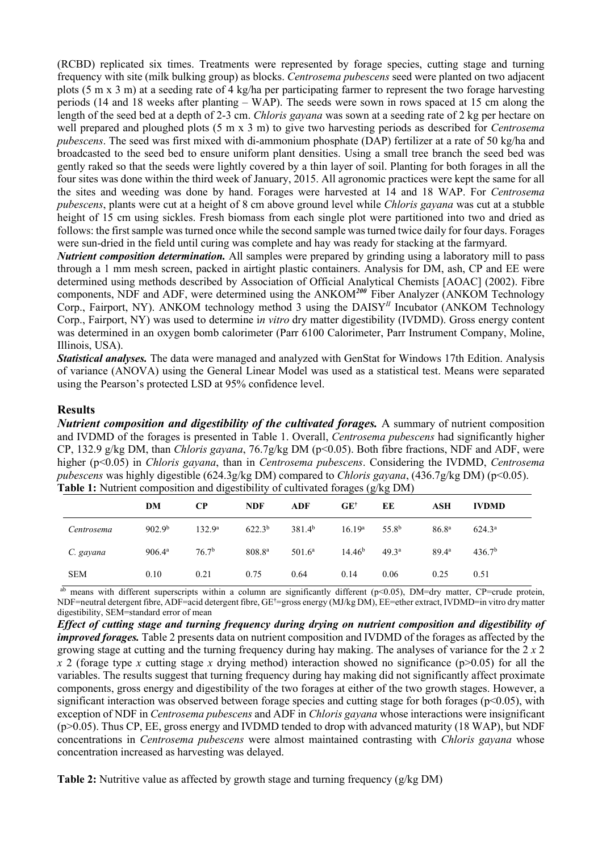(RCBD) replicated six times. Treatments were represented by forage species, cutting stage and turning frequency with site (milk bulking group) as blocks. *Centrosema pubescens* seed were planted on two adjacent plots (5 m x 3 m) at a seeding rate of 4 kg/ha per participating farmer to represent the two forage harvesting periods (14 and 18 weeks after planting – WAP). The seeds were sown in rows spaced at 15 cm along the length of the seed bed at a depth of 2-3 cm. *Chloris gayana* was sown at a seeding rate of 2 kg per hectare on well prepared and ploughed plots (5 m x 3 m) to give two harvesting periods as described for *Centrosema pubescens*. The seed was first mixed with di-ammonium phosphate (DAP) fertilizer at a rate of 50 kg/ha and broadcasted to the seed bed to ensure uniform plant densities. Using a small tree branch the seed bed was gently raked so that the seeds were lightly covered by a thin layer of soil. Planting for both forages in all the four sites was done within the third week of January, 2015. All agronomic practices were kept the same for all the sites and weeding was done by hand. Forages were harvested at 14 and 18 WAP. For *Centrosema pubescens*, plants were cut at a height of 8 cm above ground level while *Chloris gayana* was cut at a stubble height of 15 cm using sickles. Fresh biomass from each single plot were partitioned into two and dried as follows: the first sample was turned once while the second sample was turned twice daily for four days. Forages were sun-dried in the field until curing was complete and hay was ready for stacking at the farmyard.

*Nutrient composition determination.* All samples were prepared by grinding using a laboratory mill to pass through a 1 mm mesh screen, packed in airtight plastic containers. Analysis for DM, ash, CP and EE were determined using methods described by Association of Official Analytical Chemists [AOAC] (2002). Fibre components, NDF and ADF, were determined using the ANKOM<sup>200</sup>Fiber Analyzer (ANKOM Technology Corp., Fairport, NY). ANKOM technology method 3 using the DAISY*II* Incubator (ANKOM Technology Corp., Fairport, NY) was used to determine i*n vitro* dry matter digestibility (IVDMD). Gross energy content was determined in an oxygen bomb calorimeter (Parr 6100 Calorimeter, Parr Instrument Company, Moline, Illinois, USA).

*Statistical analyses.* The data were managed and analyzed with GenStat for Windows 17th Edition. Analysis of variance (ANOVA) using the General Linear Model was used as a statistical test. Means were separated using the Pearson's protected LSD at 95% confidence level.

#### **Results**

*Nutrient composition and digestibility of the cultivated forages.* A summary of nutrient composition and IVDMD of the forages is presented in Table 1. Overall, *Centrosema pubescens* had significantly higher CP, 132.9 g/kg DM, than *Chloris gayana*, 76.7g/kg DM (p<0.05). Both fibre fractions, NDF and ADF, were higher (p<0.05) in *Chloris gayana*, than in *Centrosema pubescens*. Considering the IVDMD, *Centrosema pubescens* was highly digestible (624.3g/kg DM) compared to *Chloris gayana*, (436.7g/kg DM) (p<0.05). **Table 1:** Nutrient composition and digestibility of cultivated forages (g/kg DM)

|            |                    |                    |             |                 | $\sqrt{2}$         |                   |                   |                    |  |
|------------|--------------------|--------------------|-------------|-----------------|--------------------|-------------------|-------------------|--------------------|--|
|            | DM                 | CР                 | <b>NDF</b>  | ADF             | $GE^{\dagger}$     | EE                | ASH               | <b>IVDMD</b>       |  |
| Centrosema | 902.9 <sup>b</sup> | 132.9 <sup>a</sup> | $622.3^{b}$ | $381.4^{b}$     | $16.19^{\rm a}$    | 55.8 <sup>b</sup> | 86.8 <sup>a</sup> | $624.3^{\circ}$    |  |
| C. gayana  | $906.4^{\circ}$    | 76.7 <sup>b</sup>  | $808.8^{a}$ | $501.6^{\rm a}$ | 14.46 <sup>b</sup> | 49.3 <sup>a</sup> | 89.4 <sup>a</sup> | 436.7 <sup>b</sup> |  |
| <b>SEM</b> | 0.10               | 0.21               | 0.75        | 0.64            | 0.14               | 0.06              | 0.25              | 0.51               |  |

ab means with different superscripts within a column are significantly different (p<0.05), DM=dry matter, CP=crude protein, NDF=neutral detergent fibre, ADF=acid detergent fibre, GE†=gross energy (MJ/kg DM), EE=ether extract, IVDMD=in vitro dry matter digestibility, SEM=standard error of mean

*Effect of cutting stage and turning frequency during drying on nutrient composition and digestibility of improved forages.* Table 2 presents data on nutrient composition and IVDMD of the forages as affected by the growing stage at cutting and the turning frequency during hay making. The analyses of variance for the 2 *x* 2 *x* 2 (forage type *x* cutting stage *x* drying method) interaction showed no significance (p>0.05) for all the variables. The results suggest that turning frequency during hay making did not significantly affect proximate components, gross energy and digestibility of the two forages at either of the two growth stages. However, a significant interaction was observed between forage species and cutting stage for both forages ( $p$ <0.05), with exception of NDF in *Centrosema pubescens* and ADF in *Chloris gayana* whose interactions were insignificant (p>0.05). Thus CP, EE, gross energy and IVDMD tended to drop with advanced maturity (18 WAP), but NDF concentrations in *Centrosema pubescens* were almost maintained contrasting with *Chloris gayana* whose concentration increased as harvesting was delayed.

**Table 2:** Nutritive value as affected by growth stage and turning frequency (g/kg DM)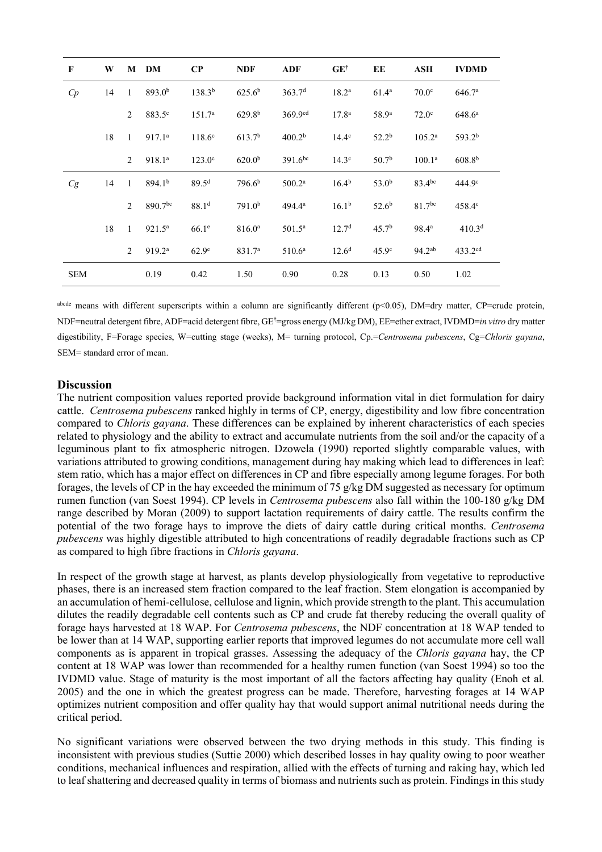| $\mathbf{F}$ | W  |                | M DM                | $\bf CP$           | <b>NDF</b>         | <b>ADF</b>         | $GE^{\dagger}$    | EE                | ASH                | <b>IVDMD</b>       |
|--------------|----|----------------|---------------------|--------------------|--------------------|--------------------|-------------------|-------------------|--------------------|--------------------|
| C p          | 14 | $\overline{1}$ | 893.0 <sup>b</sup>  | $138.3^{b}$        | $625.6^{b}$        | 363.7 <sup>d</sup> | $18.2^{\rm a}$    | $61.4^{\rm a}$    | 70.0 <sup>c</sup>  | 646.7 <sup>a</sup> |
|              |    | 2              | 883.5 <sup>c</sup>  | 151.7 <sup>a</sup> | 629.8 <sup>b</sup> | $369.9^{cd}$       | 17.8 <sup>a</sup> | 58.9 <sup>a</sup> | $72.0^\circ$       | 648.6 <sup>a</sup> |
|              | 18 | 1              | 917.1 <sup>a</sup>  | $118.6^{\circ}$    | 613.7 <sup>b</sup> | 400.2 <sup>b</sup> | $14.4^\circ$      | 52.2 <sup>b</sup> | $105.2^{\rm a}$    | 593.2 <sup>b</sup> |
|              |    | 2              | 918.1ª              | $123.0^\circ$      | 620.0 <sup>b</sup> | $391.6^{bc}$       | 14.3 <sup>c</sup> | 50.7 <sup>b</sup> | 100.1 <sup>a</sup> | 608.8 <sup>b</sup> |
| Cg           | 14 | $\overline{1}$ | 894.1 <sup>b</sup>  | 89.5 <sup>d</sup>  | 796.6 <sup>b</sup> | 500.2 <sup>a</sup> | 16.4 <sup>b</sup> | 53.0 <sup>b</sup> | 83.4bc             | 444.9 <sup>c</sup> |
|              |    | 2              | 890.7 <sup>bc</sup> | 88.1 <sup>d</sup>  | 791.0 <sup>b</sup> | $494.4^{\circ}$    | 16.1 <sup>b</sup> | 52.6 <sup>b</sup> | $81.7^{bc}$        | $458.4^\circ$      |
|              | 18 | $\mathbf{1}$   | $921.5^{\circ}$     | 66.1 <sup>e</sup>  | 816.0 <sup>a</sup> | $501.5^{\circ}$    | 12.7 <sup>d</sup> | 45.7 <sup>b</sup> | $98.4^{\rm a}$     | 410.3 <sup>d</sup> |
|              |    | 2              | 919.2 <sup>a</sup>  | 62.9 <sup>e</sup>  | 831.7 <sup>a</sup> | 510.6 <sup>a</sup> | $12.6^{\rm d}$    | 45.9 <sup>c</sup> | $94.2^{ab}$        | $433.2^{cd}$       |
| <b>SEM</b>   |    |                | 0.19                | 0.42               | 1.50               | 0.90               | 0.28              | 0.13              | 0.50               | 1.02               |

abcde means with different superscripts within a column are significantly different (p<0.05), DM=dry matter, CP=crude protein, NDF=neutral detergent fibre, ADF=acid detergent fibre, GE†=gross energy (MJ/kg DM), EE=ether extract, IVDMD=*in vitro* dry matter digestibility, F=Forage species, W=cutting stage (weeks), M= turning protocol, Cp.=*Centrosema pubescens*, Cg=*Chloris gayana*, SEM= standard error of mean.

#### **Discussion**

The nutrient composition values reported provide background information vital in diet formulation for dairy cattle. *Centrosema pubescens* ranked highly in terms of CP, energy, digestibility and low fibre concentration compared to *Chloris gayana*. These differences can be explained by inherent characteristics of each species related to physiology and the ability to extract and accumulate nutrients from the soil and/or the capacity of a leguminous plant to fix atmospheric nitrogen. Dzowela (1990) reported slightly comparable values, with variations attributed to growing conditions, management during hay making which lead to differences in leaf: stem ratio, which has a major effect on differences in CP and fibre especially among legume forages. For both forages, the levels of CP in the hay exceeded the minimum of 75 g/kg DM suggested as necessary for optimum rumen function (van Soest 1994). CP levels in *Centrosema pubescens* also fall within the 100-180 g/kg DM range described by Moran (2009) to support lactation requirements of dairy cattle. The results confirm the potential of the two forage hays to improve the diets of dairy cattle during critical months. *Centrosema pubescens* was highly digestible attributed to high concentrations of readily degradable fractions such as CP as compared to high fibre fractions in *Chloris gayana*.

In respect of the growth stage at harvest, as plants develop physiologically from vegetative to reproductive phases, there is an increased stem fraction compared to the leaf fraction. Stem elongation is accompanied by an accumulation of hemi-cellulose, cellulose and lignin, which provide strength to the plant. This accumulation dilutes the readily degradable cell contents such as CP and crude fat thereby reducing the overall quality of forage hays harvested at 18 WAP. For *Centrosema pubescens*, the NDF concentration at 18 WAP tended to be lower than at 14 WAP, supporting earlier reports that improved legumes do not accumulate more cell wall components as is apparent in tropical grasses. Assessing the adequacy of the *Chloris gayana* hay, the CP content at 18 WAP was lower than recommended for a healthy rumen function (van Soest 1994) so too the IVDMD value. Stage of maturity is the most important of all the factors affecting hay quality (Enoh et al*.* 2005) and the one in which the greatest progress can be made. Therefore, harvesting forages at 14 WAP optimizes nutrient composition and offer quality hay that would support animal nutritional needs during the critical period.

No significant variations were observed between the two drying methods in this study. This finding is inconsistent with previous studies (Suttie 2000) which described losses in hay quality owing to poor weather conditions, mechanical influences and respiration, allied with the effects of turning and raking hay, which led to leaf shattering and decreased quality in terms of biomass and nutrients such as protein. Findings in this study